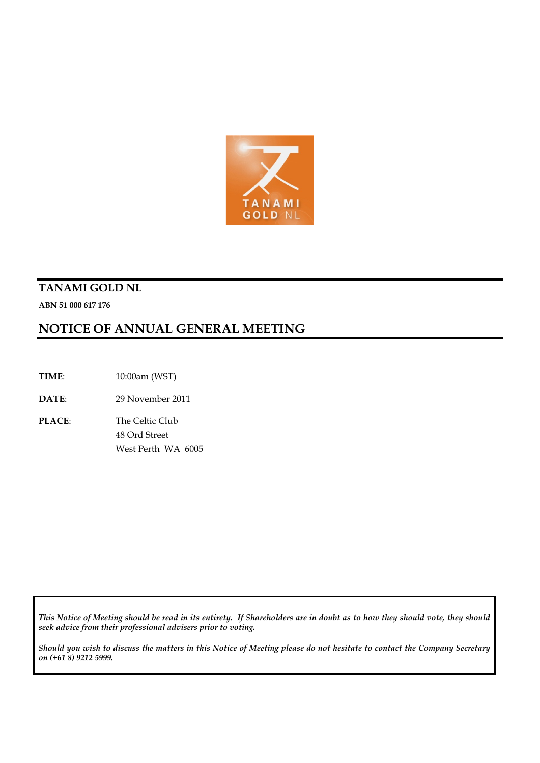

# **TANAMI GOLD NL**

**ABN 51 000 617 176**

# **NOTICE OF ANNUAL GENERAL MEETING**

**TIME**: 10:00am (WST)

**DATE**: 29 November 2011

**PLACE**: The Celtic Club 48 Ord Street West Perth WA 6005

*This Notice of Meeting should be read in its entirety. If Shareholders are in doubt as to how they should vote, they should seek advice from their professional advisers prior to voting.*

*Should you wish to discuss the matters in this Notice of Meeting please do not hesitate to contact the Company Secretary on (+61 8) 9212 5999.*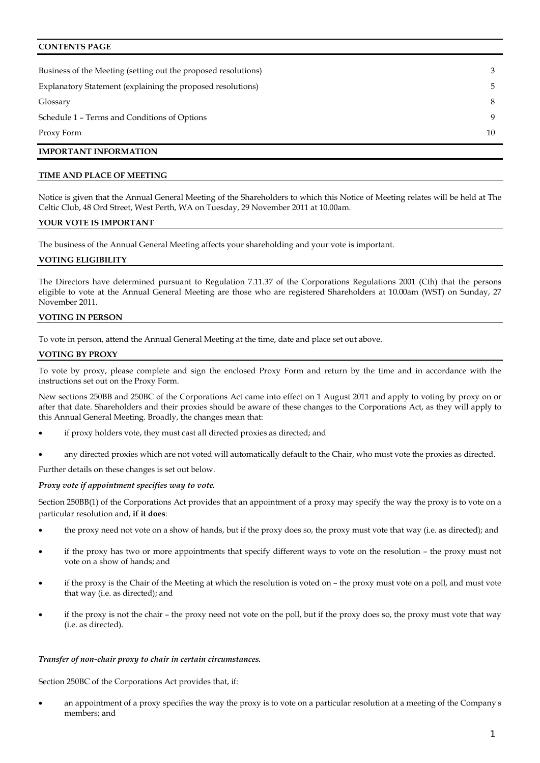# **CONTENTS PAGE**

| Business of the Meeting (setting out the proposed resolutions) | 3  |
|----------------------------------------------------------------|----|
| Explanatory Statement (explaining the proposed resolutions)    | 5  |
| Glossary                                                       | 8  |
| Schedule 1 - Terms and Conditions of Options                   | 9  |
| Proxy Form                                                     | 10 |
| <b>IMPORTANT INFORMATION</b>                                   |    |

# **TIME AND PLACE OF MEETING**

Notice is given that the Annual General Meeting of the Shareholders to which this Notice of Meeting relates will be held at The Celtic Club, 48 Ord Street, West Perth, WA on Tuesday, 29 November 2011 at 10.00am.

#### **YOUR VOTE IS IMPORTANT**

The business of the Annual General Meeting affects your shareholding and your vote is important.

# **VOTING ELIGIBILITY**

The Directors have determined pursuant to Regulation 7.11.37 of the Corporations Regulations 2001 (Cth) that the persons eligible to vote at the Annual General Meeting are those who are registered Shareholders at 10.00am (WST) on Sunday, 27 November 2011.

# **VOTING IN PERSON**

To vote in person, attend the Annual General Meeting at the time, date and place set out above.

# **VOTING BY PROXY**

To vote by proxy, please complete and sign the enclosed Proxy Form and return by the time and in accordance with the instructions set out on the Proxy Form.

New sections 250BB and 250BC of the Corporations Act came into effect on 1 August 2011 and apply to voting by proxy on or after that date. Shareholders and their proxies should be aware of these changes to the Corporations Act, as they will apply to this Annual General Meeting. Broadly, the changes mean that:

- if proxy holders vote, they must cast all directed proxies as directed; and
- any directed proxies which are not voted will automatically default to the Chair, who must vote the proxies as directed.

Further details on these changes is set out below.

#### *Proxy vote if appointment specifies way to vote.*

Section 250BB(1) of the Corporations Act provides that an appointment of a proxy may specify the way the proxy is to vote on a particular resolution and, **if it does**:

- the proxy need not vote on a show of hands, but if the proxy does so, the proxy must vote that way (i.e. as directed); and
- if the proxy has two or more appointments that specify different ways to vote on the resolution the proxy must not vote on a show of hands; and
- if the proxy is the Chair of the Meeting at which the resolution is voted on the proxy must vote on a poll, and must vote that way (i.e. as directed); and
- if the proxy is not the chair the proxy need not vote on the poll, but if the proxy does so, the proxy must vote that way (i.e. as directed).

#### *Transfer of non-chair proxy to chair in certain circumstances.*

Section 250BC of the Corporations Act provides that, if:

• an appointment of a proxy specifies the way the proxy is to vote on a particular resolution at a meeting of the Company's members; and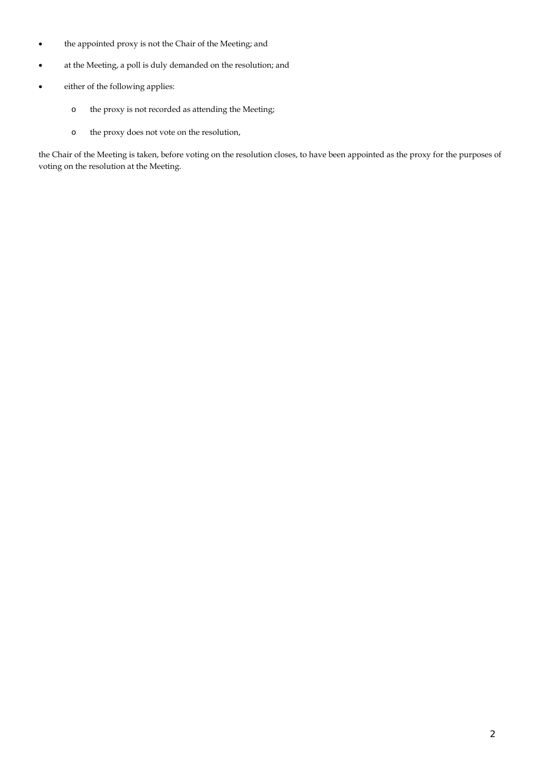- the appointed proxy is not the Chair of the Meeting; and
- at the Meeting, a poll is duly demanded on the resolution; and
- either of the following applies:
	- o the proxy is not recorded as attending the Meeting;
	- o the proxy does not vote on the resolution,

the Chair of the Meeting is taken, before voting on the resolution closes, to have been appointed as the proxy for the purposes of voting on the resolution at the Meeting.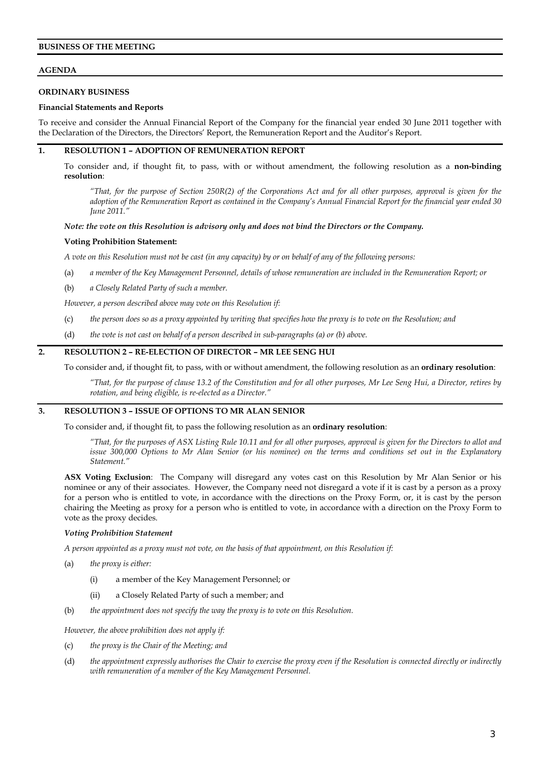# **BUSINESS OF THE MEETING**

# **AGENDA**

# **ORDINARY BUSINESS**

# **Financial Statements and Reports**

To receive and consider the Annual Financial Report of the Company for the financial year ended 30 June 2011 together with the Declaration of the Directors, the Directors' Report, the Remuneration Report and the Auditor's Report.

# **1. RESOLUTION 1 – ADOPTION OF REMUNERATION REPORT**

To consider and, if thought fit, to pass, with or without amendment, the following resolution as a **non-binding resolution**:

*"That, for the purpose of Section 250R(2) of the Corporations Act and for all other purposes, approval is given for the adoption of the Remuneration Report as contained in the Company's Annual Financial Report for the financial year ended 30 June 2011."*

#### *Note: the vote on this Resolution is advisory only and does not bind the Directors or the Company.*

# **Voting Prohibition Statement:**

*A vote on this Resolution must not be cast (in any capacity) by or on behalf of any of the following persons:*

- (a) *a member of the Key Management Personnel, details of whose remuneration are included in the Remuneration Report; or*
- (b) *a Closely Related Party of such a member.*

*However, a person described above may vote on this Resolution if:*

- (c) *the person does so as a proxy appointed by writing that specifies how the proxy is to vote on the Resolution; and*
- (d) *the vote is not cast on behalf of a person described in sub-paragraphs (a) or (b) above.*

# **2. RESOLUTION 2 – RE-ELECTION OF DIRECTOR – MR LEE SENG HUI**

To consider and, if thought fit, to pass, with or without amendment, the following resolution as an **ordinary resolution**:

*"That, for the purpose of clause 13.2 of the Constitution and for all other purposes, Mr Lee Seng Hui, a Director, retires by rotation, and being eligible, is re-elected as a Director."*

# **3. RESOLUTION 3 – ISSUE OF OPTIONS TO MR ALAN SENIOR**

To consider and, if thought fit, to pass the following resolution as an **ordinary resolution**:

*"That, for the purposes of ASX Listing Rule 10.11 and for all other purposes, approval is given for the Directors to allot and issue 300,000 Options to Mr Alan Senior (or his nominee) on the terms and conditions set out in the Explanatory Statement."*

**ASX Voting Exclusion**: The Company will disregard any votes cast on this Resolution by Mr Alan Senior or his nominee or any of their associates. However, the Company need not disregard a vote if it is cast by a person as a proxy for a person who is entitled to vote, in accordance with the directions on the Proxy Form, or, it is cast by the person chairing the Meeting as proxy for a person who is entitled to vote, in accordance with a direction on the Proxy Form to vote as the proxy decides.

# *Voting Prohibition Statement*

*A person appointed as a proxy must not vote, on the basis of that appointment, on this Resolution if:*

- (a) *the proxy is either:*
	- (i) a member of the Key Management Personnel; or
	- (ii) a Closely Related Party of such a member; and
- (b) *the appointment does not specify the way the proxy is to vote on this Resolution.*

*However, the above prohibition does not apply if:*

- (c) *the proxy is the Chair of the Meeting; and*
- (d) *the appointment expressly authorises the Chair to exercise the proxy even if the Resolution is connected directly or indirectly with remuneration of a member of the Key Management Personnel.*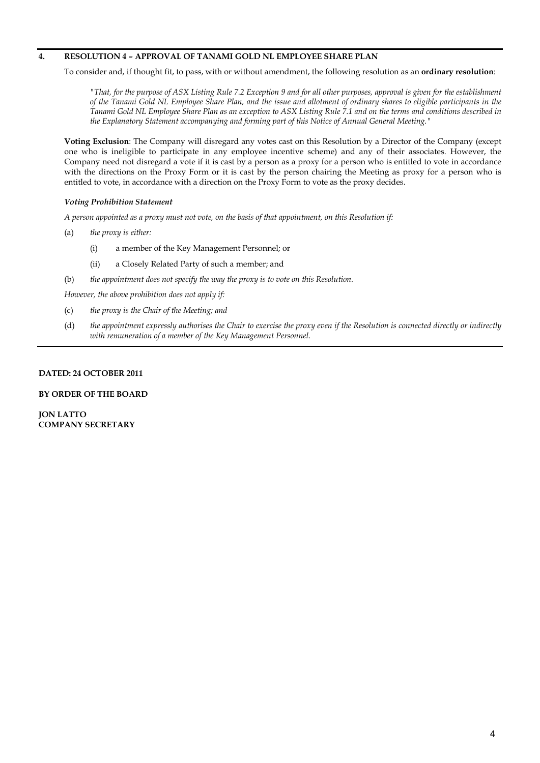# **4. RESOLUTION 4 – APPROVAL OF TANAMI GOLD NL EMPLOYEE SHARE PLAN**

To consider and, if thought fit, to pass, with or without amendment, the following resolution as an **ordinary resolution**:

*"That, for the purpose of ASX Listing Rule 7.2 Exception 9 and for all other purposes, approval is given for the establishment of the Tanami Gold NL Employee Share Plan, and the issue and allotment of ordinary shares to eligible participants in the Tanami Gold NL Employee Share Plan as an exception to ASX Listing Rule 7.1 and on the terms and conditions described in the Explanatory Statement accompanying and forming part of this Notice of Annual General Meeting."* 

**Voting Exclusion**: The Company will disregard any votes cast on this Resolution by a Director of the Company (except one who is ineligible to participate in any employee incentive scheme) and any of their associates. However, the Company need not disregard a vote if it is cast by a person as a proxy for a person who is entitled to vote in accordance with the directions on the Proxy Form or it is cast by the person chairing the Meeting as proxy for a person who is entitled to vote, in accordance with a direction on the Proxy Form to vote as the proxy decides.

# *Voting Prohibition Statement*

*A person appointed as a proxy must not vote, on the basis of that appointment, on this Resolution if:*

- (a) *the proxy is either:*
	- (i) a member of the Key Management Personnel; or
	- (ii) a Closely Related Party of such a member; and
- (b) *the appointment does not specify the way the proxy is to vote on this Resolution.*

*However, the above prohibition does not apply if:*

- (c) *the proxy is the Chair of the Meeting; and*
- (d) *the appointment expressly authorises the Chair to exercise the proxy even if the Resolution is connected directly or indirectly with remuneration of a member of the Key Management Personnel.*

# **DATED: 24 OCTOBER 2011**

#### **BY ORDER OF THE BOARD**

**JON LATTO COMPANY SECRETARY**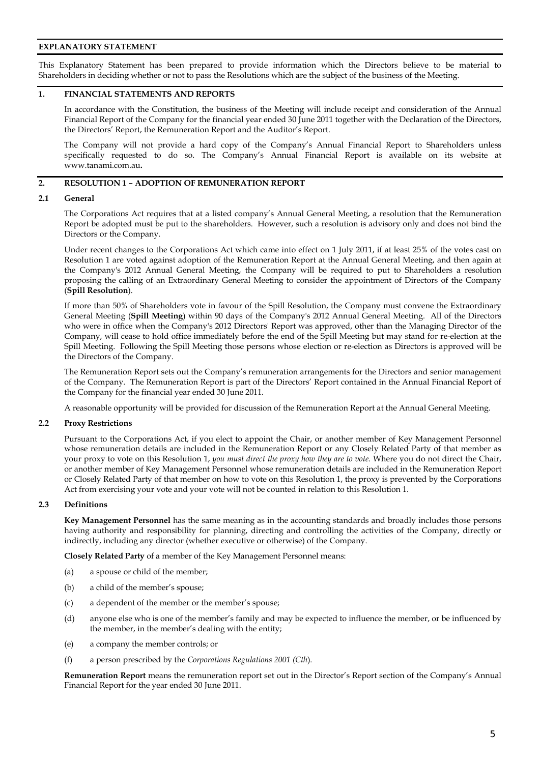# **EXPLANATORY STATEMENT**

This Explanatory Statement has been prepared to provide information which the Directors believe to be material to Shareholders in deciding whether or not to pass the Resolutions which are the subject of the business of the Meeting.

# **1. FINANCIAL STATEMENTS AND REPORTS**

In accordance with the Constitution, the business of the Meeting will include receipt and consideration of the Annual Financial Report of the Company for the financial year ended 30 June 2011 together with the Declaration of the Directors, the Directors' Report, the Remuneration Report and the Auditor's Report.

The Company will not provide a hard copy of the Company's Annual Financial Report to Shareholders unless specifically requested to do so. The Company's Annual Financial Report is available on its website at www.tanami.com.au**.**

# **2. RESOLUTION 1 – ADOPTION OF REMUNERATION REPORT**

#### **2.1 General**

The Corporations Act requires that at a listed company's Annual General Meeting, a resolution that the Remuneration Report be adopted must be put to the shareholders. However, such a resolution is advisory only and does not bind the Directors or the Company.

Under recent changes to the Corporations Act which came into effect on 1 July 2011, if at least 25% of the votes cast on Resolution 1 are voted against adoption of the Remuneration Report at the Annual General Meeting, and then again at the Company's 2012 Annual General Meeting, the Company will be required to put to Shareholders a resolution proposing the calling of an Extraordinary General Meeting to consider the appointment of Directors of the Company (**Spill Resolution**).

If more than 50% of Shareholders vote in favour of the Spill Resolution, the Company must convene the Extraordinary General Meeting (**Spill Meeting**) within 90 days of the Company's 2012 Annual General Meeting. All of the Directors who were in office when the Company's 2012 Directors' Report was approved, other than the Managing Director of the Company, will cease to hold office immediately before the end of the Spill Meeting but may stand for re-election at the Spill Meeting. Following the Spill Meeting those persons whose election or re-election as Directors is approved will be the Directors of the Company.

The Remuneration Report sets out the Company's remuneration arrangements for the Directors and senior management of the Company. The Remuneration Report is part of the Directors' Report contained in the Annual Financial Report of the Company for the financial year ended 30 June 2011.

A reasonable opportunity will be provided for discussion of the Remuneration Report at the Annual General Meeting.

# **2.2 Proxy Restrictions**

Pursuant to the Corporations Act, if you elect to appoint the Chair, or another member of Key Management Personnel whose remuneration details are included in the Remuneration Report or any Closely Related Party of that member as your proxy to vote on this Resolution 1, *you must direct the proxy how they are to vote.* Where you do not direct the Chair, or another member of Key Management Personnel whose remuneration details are included in the Remuneration Report or Closely Related Party of that member on how to vote on this Resolution 1, the proxy is prevented by the Corporations Act from exercising your vote and your vote will not be counted in relation to this Resolution 1.

# **2.3 Definitions**

**Key Management Personnel** has the same meaning as in the accounting standards and broadly includes those persons having authority and responsibility for planning, directing and controlling the activities of the Company, directly or indirectly, including any director (whether executive or otherwise) of the Company.

**Closely Related Party** of a member of the Key Management Personnel means:

- (a) a spouse or child of the member;
- (b) a child of the member's spouse;
- (c) a dependent of the member or the member's spouse;
- (d) anyone else who is one of the member's family and may be expected to influence the member, or be influenced by the member, in the member's dealing with the entity;
- (e) a company the member controls; or
- (f) a person prescribed by the *Corporations Regulations 2001 (Cth*).

**Remuneration Report** means the remuneration report set out in the Director's Report section of the Company's Annual Financial Report for the year ended 30 June 2011.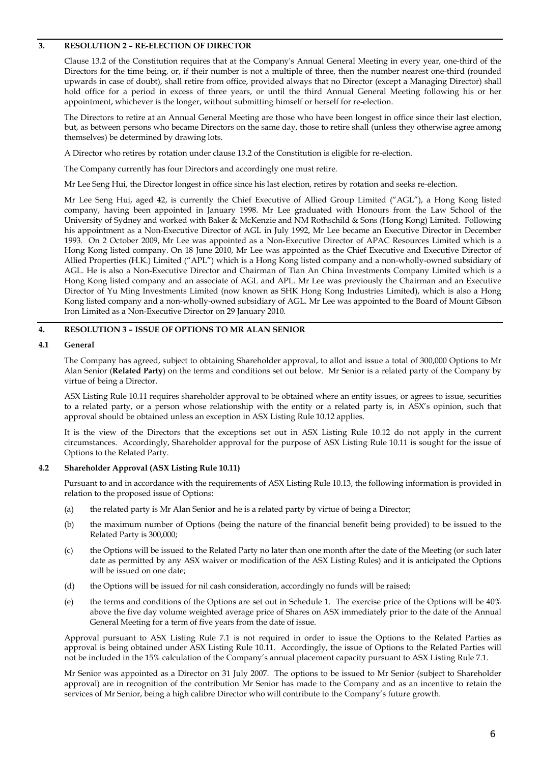# **3. RESOLUTION 2 – RE-ELECTION OF DIRECTOR**

Clause 13.2 of the Constitution requires that at the Company's Annual General Meeting in every year, one-third of the Directors for the time being, or, if their number is not a multiple of three, then the number nearest one-third (rounded upwards in case of doubt), shall retire from office, provided always that no Director (except a Managing Director) shall hold office for a period in excess of three years, or until the third Annual General Meeting following his or her appointment, whichever is the longer, without submitting himself or herself for re-election.

The Directors to retire at an Annual General Meeting are those who have been longest in office since their last election, but, as between persons who became Directors on the same day, those to retire shall (unless they otherwise agree among themselves) be determined by drawing lots.

A Director who retires by rotation under clause 13.2 of the Constitution is eligible for re-election.

The Company currently has four Directors and accordingly one must retire.

Mr Lee Seng Hui, the Director longest in office since his last election, retires by rotation and seeks re-election.

Mr Lee Seng Hui, aged 42, is currently the Chief Executive of Allied Group Limited ("AGL"), a Hong Kong listed company, having been appointed in January 1998. Mr Lee graduated with Honours from the Law School of the University of Sydney and worked with Baker & McKenzie and NM Rothschild & Sons (Hong Kong) Limited. Following his appointment as a Non-Executive Director of AGL in July 1992, Mr Lee became an Executive Director in December 1993. On 2 October 2009, Mr Lee was appointed as a Non-Executive Director of APAC Resources Limited which is a Hong Kong listed company. On 18 June 2010, Mr Lee was appointed as the Chief Executive and Executive Director of Allied Properties (H.K.) Limited ("APL") which is a Hong Kong listed company and a non-wholly-owned subsidiary of AGL. He is also a Non-Executive Director and Chairman of Tian An China Investments Company Limited which is a Hong Kong listed company and an associate of AGL and APL. Mr Lee was previously the Chairman and an Executive Director of Yu Ming Investments Limited (now known as SHK Hong Kong Industries Limited), which is also a Hong Kong listed company and a non-wholly-owned subsidiary of AGL. Mr Lee was appointed to the Board of Mount Gibson Iron Limited as a Non-Executive Director on 29 January 2010.

# **4. RESOLUTION 3 – ISSUE OF OPTIONS TO MR ALAN SENIOR**

# **4.1 General**

The Company has agreed, subject to obtaining Shareholder approval, to allot and issue a total of 300,000 Options to Mr Alan Senior (**Related Party**) on the terms and conditions set out below. Mr Senior is a related party of the Company by virtue of being a Director.

ASX Listing Rule 10.11 requires shareholder approval to be obtained where an entity issues, or agrees to issue, securities to a related party, or a person whose relationship with the entity or a related party is, in ASX's opinion, such that approval should be obtained unless an exception in ASX Listing Rule 10.12 applies.

It is the view of the Directors that the exceptions set out in ASX Listing Rule 10.12 do not apply in the current circumstances. Accordingly, Shareholder approval for the purpose of ASX Listing Rule 10.11 is sought for the issue of Options to the Related Party.

# **4.2 Shareholder Approval (ASX Listing Rule 10.11)**

Pursuant to and in accordance with the requirements of ASX Listing Rule 10.13, the following information is provided in relation to the proposed issue of Options:

- (a) the related party is Mr Alan Senior and he is a related party by virtue of being a Director;
- (b) the maximum number of Options (being the nature of the financial benefit being provided) to be issued to the Related Party is 300,000;
- (c) the Options will be issued to the Related Party no later than one month after the date of the Meeting (or such later date as permitted by any ASX waiver or modification of the ASX Listing Rules) and it is anticipated the Options will be issued on one date;
- (d) the Options will be issued for nil cash consideration, accordingly no funds will be raised;
- (e) the terms and conditions of the Options are set out in Schedule 1. The exercise price of the Options will be 40% above the five day volume weighted average price of Shares on ASX immediately prior to the date of the Annual General Meeting for a term of five years from the date of issue.

Approval pursuant to ASX Listing Rule 7.1 is not required in order to issue the Options to the Related Parties as approval is being obtained under ASX Listing Rule 10.11. Accordingly, the issue of Options to the Related Parties will not be included in the 15% calculation of the Company's annual placement capacity pursuant to ASX Listing Rule 7.1.

Mr Senior was appointed as a Director on 31 July 2007. The options to be issued to Mr Senior (subject to Shareholder approval) are in recognition of the contribution Mr Senior has made to the Company and as an incentive to retain the services of Mr Senior, being a high calibre Director who will contribute to the Company's future growth.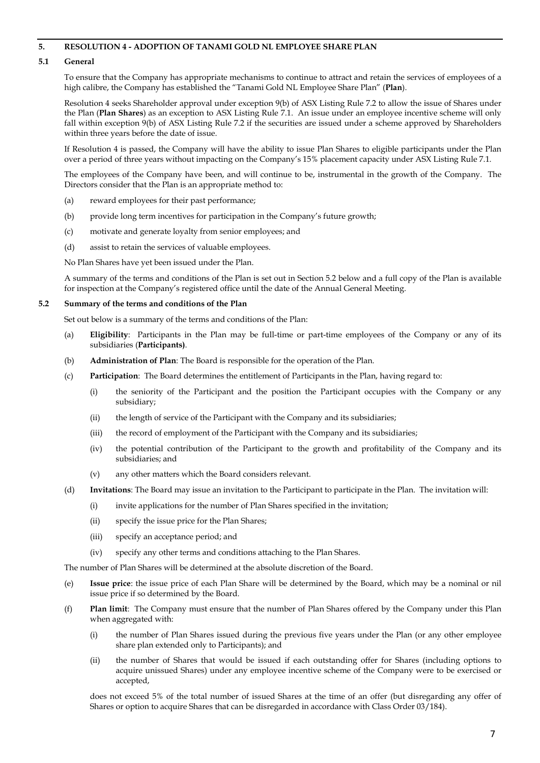# **5. RESOLUTION 4 - ADOPTION OF TANAMI GOLD NL EMPLOYEE SHARE PLAN**

# **5.1 General**

To ensure that the Company has appropriate mechanisms to continue to attract and retain the services of employees of a high calibre, the Company has established the "Tanami Gold NL Employee Share Plan" (**Plan**).

Resolution 4 seeks Shareholder approval under exception 9(b) of ASX Listing Rule 7.2 to allow the issue of Shares under the Plan (**Plan Shares**) as an exception to ASX Listing Rule 7.1. An issue under an employee incentive scheme will only fall within exception 9(b) of ASX Listing Rule 7.2 if the securities are issued under a scheme approved by Shareholders within three years before the date of issue.

If Resolution 4 is passed, the Company will have the ability to issue Plan Shares to eligible participants under the Plan over a period of three years without impacting on the Company's 15% placement capacity under ASX Listing Rule 7.1.

The employees of the Company have been, and will continue to be, instrumental in the growth of the Company. The Directors consider that the Plan is an appropriate method to:

- (a) reward employees for their past performance;
- (b) provide long term incentives for participation in the Company's future growth;
- (c) motivate and generate loyalty from senior employees; and
- (d) assist to retain the services of valuable employees.

No Plan Shares have yet been issued under the Plan.

A summary of the terms and conditions of the Plan is set out in Section 5.2 below and a full copy of the Plan is available for inspection at the Company's registered office until the date of the Annual General Meeting.

# **5.2 Summary of the terms and conditions of the Plan**

Set out below is a summary of the terms and conditions of the Plan:

- (a) **Eligibility**: Participants in the Plan may be full-time or part-time employees of the Company or any of its subsidiaries (**Participants)**.
- (b) **Administration of Plan**: The Board is responsible for the operation of the Plan.
- (c) **Participation**: The Board determines the entitlement of Participants in the Plan, having regard to:
	- (i) the seniority of the Participant and the position the Participant occupies with the Company or any subsidiary;
	- (ii) the length of service of the Participant with the Company and its subsidiaries;
	- (iii) the record of employment of the Participant with the Company and its subsidiaries;
	- (iv) the potential contribution of the Participant to the growth and profitability of the Company and its subsidiaries; and
	- (v) any other matters which the Board considers relevant.
- (d) **Invitations**: The Board may issue an invitation to the Participant to participate in the Plan. The invitation will:
	- (i) invite applications for the number of Plan Shares specified in the invitation;
	- (ii) specify the issue price for the Plan Shares;
	- (iii) specify an acceptance period; and
	- (iv) specify any other terms and conditions attaching to the Plan Shares.

The number of Plan Shares will be determined at the absolute discretion of the Board.

- (e) **Issue price**: the issue price of each Plan Share will be determined by the Board, which may be a nominal or nil issue price if so determined by the Board.
- (f) **Plan limit**: The Company must ensure that the number of Plan Shares offered by the Company under this Plan when aggregated with:
	- (i) the number of Plan Shares issued during the previous five years under the Plan (or any other employee share plan extended only to Participants); and
	- (ii) the number of Shares that would be issued if each outstanding offer for Shares (including options to acquire unissued Shares) under any employee incentive scheme of the Company were to be exercised or accepted,

does not exceed 5% of the total number of issued Shares at the time of an offer (but disregarding any offer of Shares or option to acquire Shares that can be disregarded in accordance with Class Order 03/184).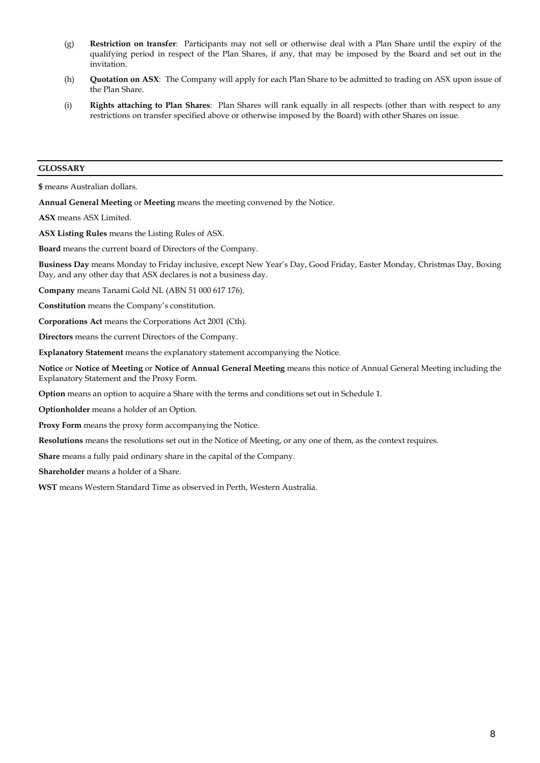- (g) **Restriction on transfer**: Participants may not sell or otherwise deal with a Plan Share until the expiry of the qualifying period in respect of the Plan Shares, if any, that may be imposed by the Board and set out in the invitation.
- (h) **Quotation on ASX**: The Company will apply for each Plan Share to be admitted to trading on ASX upon issue of the Plan Share.
- (i) **Rights attaching to Plan Shares**: Plan Shares will rank equally in all respects (other than with respect to any restrictions on transfer specified above or otherwise imposed by the Board) with other Shares on issue.

# **GLOSSARY**

**\$** means Australian dollars.

**Annual General Meeting** or **Meeting** means the meeting convened by the Notice.

**ASX** means ASX Limited.

**ASX Listing Rules** means the Listing Rules of ASX.

**Board** means the current board of Directors of the Company.

**Business Day** means Monday to Friday inclusive, except New Year's Day, Good Friday, Easter Monday, Christmas Day, Boxing Day, and any other day that ASX declares is not a business day.

**Company** means Tanami Gold NL (ABN 51 000 617 176).

**Constitution** means the Company's constitution.

**Corporations Act** means the Corporations Act 2001 (Cth).

**Directors** means the current Directors of the Company.

**Explanatory Statement** means the explanatory statement accompanying the Notice.

**Notice** or **Notice of Meeting** or **Notice of Annual General Meeting** means this notice of Annual General Meeting including the Explanatory Statement and the Proxy Form.

**Option** means an option to acquire a Share with the terms and conditions set out in Schedule 1.

**Optionholder** means a holder of an Option.

**Proxy Form** means the proxy form accompanying the Notice.

**Resolutions** means the resolutions set out in the Notice of Meeting, or any one of them, as the context requires.

**Share** means a fully paid ordinary share in the capital of the Company.

**Shareholder** means a holder of a Share.

**WST** means Western Standard Time as observed in Perth, Western Australia.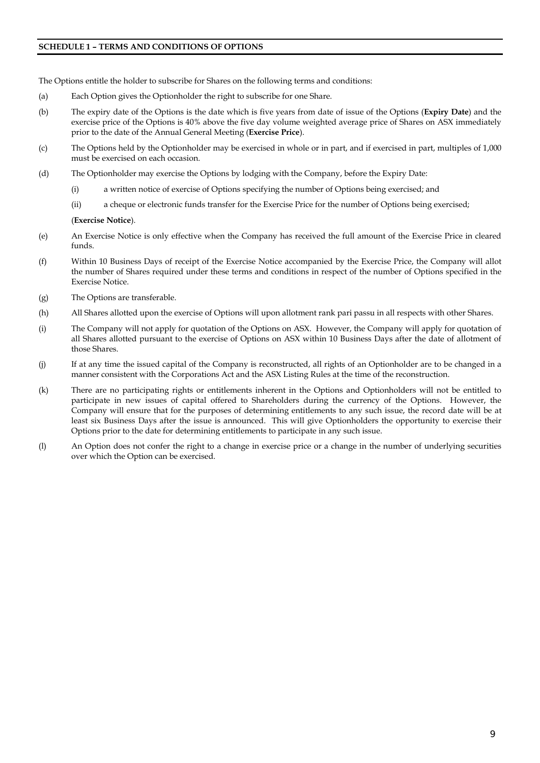# **SCHEDULE 1 – TERMS AND CONDITIONS OF OPTIONS**

The Options entitle the holder to subscribe for Shares on the following terms and conditions:

- (a) Each Option gives the Optionholder the right to subscribe for one Share.
- (b) The expiry date of the Options is the date which is five years from date of issue of the Options (**Expiry Date**) and the exercise price of the Options is 40% above the five day volume weighted average price of Shares on ASX immediately prior to the date of the Annual General Meeting (**Exercise Price**).
- (c) The Options held by the Optionholder may be exercised in whole or in part, and if exercised in part, multiples of 1,000 must be exercised on each occasion.
- (d) The Optionholder may exercise the Options by lodging with the Company, before the Expiry Date:
	- (i) a written notice of exercise of Options specifying the number of Options being exercised; and
	- (ii) a cheque or electronic funds transfer for the Exercise Price for the number of Options being exercised;

(**Exercise Notice**).

- (e) An Exercise Notice is only effective when the Company has received the full amount of the Exercise Price in cleared funds.
- (f) Within 10 Business Days of receipt of the Exercise Notice accompanied by the Exercise Price, the Company will allot the number of Shares required under these terms and conditions in respect of the number of Options specified in the Exercise Notice.
- (g) The Options are transferable.
- (h) All Shares allotted upon the exercise of Options will upon allotment rank pari passu in all respects with other Shares.
- (i) The Company will not apply for quotation of the Options on ASX. However, the Company will apply for quotation of all Shares allotted pursuant to the exercise of Options on ASX within 10 Business Days after the date of allotment of those Shares.
- (j) If at any time the issued capital of the Company is reconstructed, all rights of an Optionholder are to be changed in a manner consistent with the Corporations Act and the ASX Listing Rules at the time of the reconstruction.
- (k) There are no participating rights or entitlements inherent in the Options and Optionholders will not be entitled to participate in new issues of capital offered to Shareholders during the currency of the Options. However, the Company will ensure that for the purposes of determining entitlements to any such issue, the record date will be at least six Business Days after the issue is announced. This will give Optionholders the opportunity to exercise their Options prior to the date for determining entitlements to participate in any such issue.
- (l) An Option does not confer the right to a change in exercise price or a change in the number of underlying securities over which the Option can be exercised.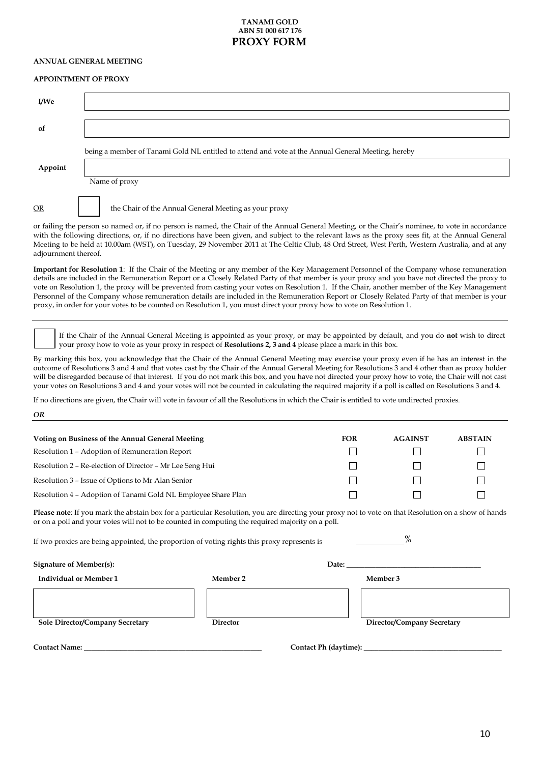# **TANAMI GOLD ABN 51 000 617 176 PROXY FORM**

#### **ANNUAL GENERAL MEETING**

#### **APPOINTMENT OF PROXY**

| I/We                                                                                                                                               |                                                                                                                                                  |  |  |  |
|----------------------------------------------------------------------------------------------------------------------------------------------------|--------------------------------------------------------------------------------------------------------------------------------------------------|--|--|--|
|                                                                                                                                                    |                                                                                                                                                  |  |  |  |
| 0f                                                                                                                                                 |                                                                                                                                                  |  |  |  |
|                                                                                                                                                    |                                                                                                                                                  |  |  |  |
|                                                                                                                                                    | being a member of Tanami Gold NL entitled to attend and vote at the Annual General Meeting, hereby                                               |  |  |  |
|                                                                                                                                                    |                                                                                                                                                  |  |  |  |
| Appoint                                                                                                                                            |                                                                                                                                                  |  |  |  |
|                                                                                                                                                    | Name of proxy                                                                                                                                    |  |  |  |
|                                                                                                                                                    |                                                                                                                                                  |  |  |  |
| <b>OR</b>                                                                                                                                          | the Chair of the Annual General Meeting as your proxy                                                                                            |  |  |  |
|                                                                                                                                                    | or failing the person so named or, if no person is named, the Chair of the Annual General Meeting, or the Chair's nominee, to vote in accordance |  |  |  |
| with the following directions, or, if no directions have been given, and subject to the relevant laws as the proxy sees fit, at the Annual General |                                                                                                                                                  |  |  |  |

with the following directions, or, if no directions have been given, and subject to the relevant laws as the proxy sees fit, at the Annual General Meeting to be held at 10.00am (WST), on Tuesday, 29 November 2011 at The Celtic Club, 48 Ord Street, West Perth, Western Australia, and at any adjournment thereof.

**Important for Resolution 1**: If the Chair of the Meeting or any member of the Key Management Personnel of the Company whose remuneration details are included in the Remuneration Report or a Closely Related Party of that member is your proxy and you have not directed the proxy to vote on Resolution 1, the proxy will be prevented from casting your votes on Resolution 1. If the Chair, another member of the Key Management Personnel of the Company whose remuneration details are included in the Remuneration Report or Closely Related Party of that member is your proxy, in order for your votes to be counted on Resolution 1, you must direct your proxy how to vote on Resolution 1.

If the Chair of the Annual General Meeting is appointed as your proxy, or may be appointed by default, and you do **not** wish to direct your proxy how to vote as your proxy in respect of **Resolutions 2, 3 and 4** please place a mark in this box.

By marking this box, you acknowledge that the Chair of the Annual General Meeting may exercise your proxy even if he has an interest in the outcome of Resolutions 3 and 4 and that votes cast by the Chair of the Annual General Meeting for Resolutions 3 and 4 other than as proxy holder will be disregarded because of that interest. If you do not mark this box, and you have not directed your proxy how to vote, the Chair will not cast your votes on Resolutions 3 and 4 and your votes will not be counted in calculating the required majority if a poll is called on Resolutions 3 and 4.

If no directions are given, the Chair will vote in favour of all the Resolutions in which the Chair is entitled to vote undirected proxies.

*OR*

| Voting on Business of the Annual General Meeting              | <b>FOR</b> | <b>AGAINST</b> | <b>ABSTAIN</b> |
|---------------------------------------------------------------|------------|----------------|----------------|
| Resolution 1 – Adoption of Remuneration Report                |            |                |                |
| Resolution 2 – Re-election of Director – Mr Lee Seng Hui      |            |                |                |
| Resolution 3 – Issue of Options to Mr Alan Senior             |            |                |                |
| Resolution 4 - Adoption of Tanami Gold NL Employee Share Plan |            |                |                |

**Please note**: If you mark the abstain box for a particular Resolution, you are directing your proxy not to vote on that Resolution on a show of hands or on a poll and your votes will not to be counted in computing the required majority on a poll.

If two proxies are being appointed, the proportion of voting rights this proxy represents is

| $\Omega$<br>O) |
|----------------|
|                |

| <b>Signature of Member(s):</b>  |                 | Date:                 |                            |  |
|---------------------------------|-----------------|-----------------------|----------------------------|--|
| <b>Individual or Member 1</b>   | Member 2        |                       | Member 3                   |  |
|                                 |                 |                       |                            |  |
| Sole Director/Company Secretary | <b>Director</b> |                       | Director/Company Secretary |  |
| <b>Contact Name:</b>            |                 | Contact Ph (daytime): |                            |  |